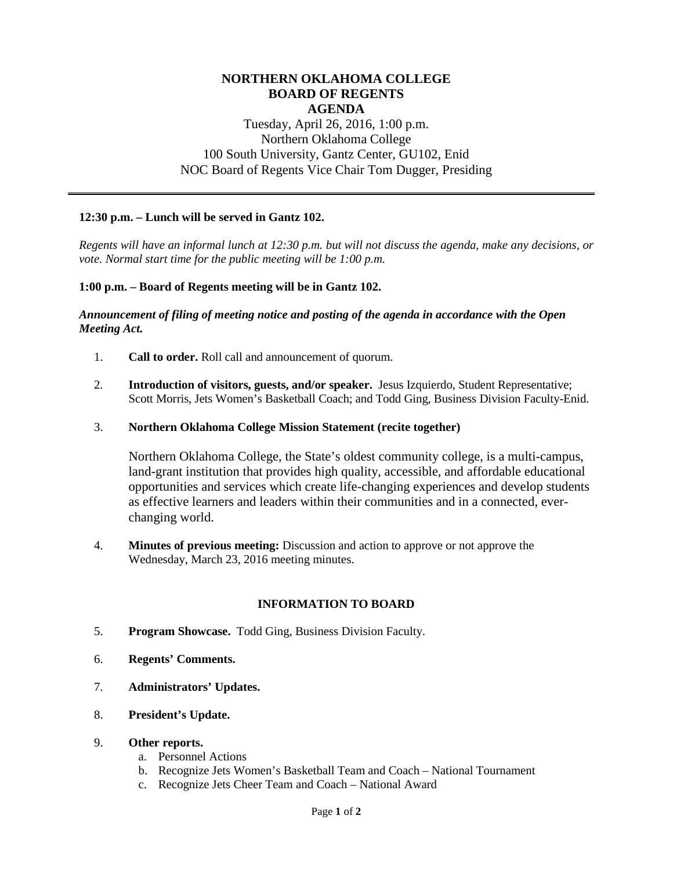## **NORTHERN OKLAHOMA COLLEGE BOARD OF REGENTS AGENDA**

# Tuesday, April 26, 2016, 1:00 p.m. Northern Oklahoma College 100 South University, Gantz Center, GU102, Enid NOC Board of Regents Vice Chair Tom Dugger, Presiding

### **12:30 p.m. – Lunch will be served in Gantz 102.**

*Regents will have an informal lunch at 12:30 p.m. but will not discuss the agenda, make any decisions, or vote. Normal start time for the public meeting will be 1:00 p.m.*

### **1:00 p.m. – Board of Regents meeting will be in Gantz 102.**

#### *Announcement of filing of meeting notice and posting of the agenda in accordance with the Open Meeting Act.*

- 1. **Call to order.** Roll call and announcement of quorum.
- 2. **Introduction of visitors, guests, and/or speaker.** Jesus Izquierdo, Student Representative; Scott Morris, Jets Women's Basketball Coach; and Todd Ging, Business Division Faculty-Enid.
- 3. **Northern Oklahoma College Mission Statement (recite together)**

Northern Oklahoma College, the State's oldest community college, is a multi-campus, land-grant institution that provides high quality, accessible, and affordable educational opportunities and services which create life-changing experiences and develop students as effective learners and leaders within their communities and in a connected, everchanging world.

4. **Minutes of previous meeting:** Discussion and action to approve or not approve the Wednesday, March 23, 2016 meeting minutes.

### **INFORMATION TO BOARD**

- 5. **Program Showcase.** Todd Ging, Business Division Faculty.
- 6. **Regents' Comments.**
- 7. **Administrators' Updates.**
- 8. **President's Update.**
- 9. **Other reports.**
	- a. Personnel Actions
	- b. Recognize Jets Women's Basketball Team and Coach National Tournament
	- c. Recognize Jets Cheer Team and Coach National Award